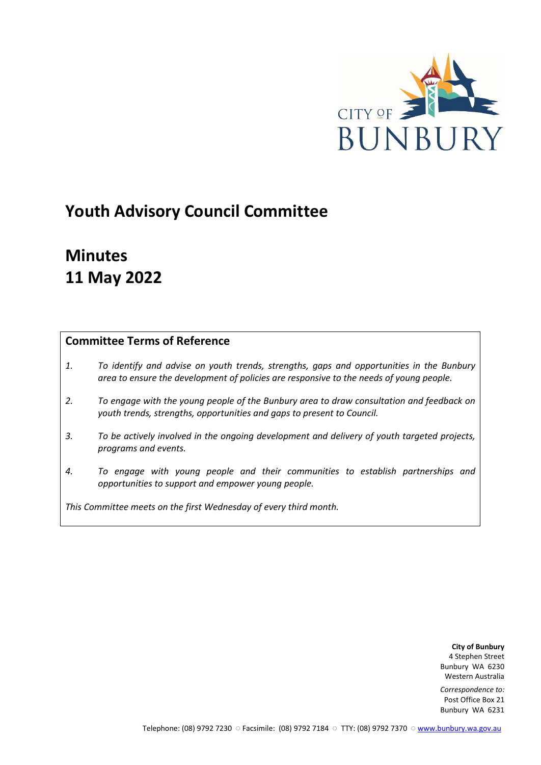

# **Youth Advisory Council Committee**

# **Minutes 11 May 2022**

# **Committee Terms of Reference**

- *1. To identify and advise on youth trends, strengths, gaps and opportunities in the Bunbury area to ensure the development of policies are responsive to the needs of young people.*
- *2. To engage with the young people of the Bunbury area to draw consultation and feedback on youth trends, strengths, opportunities and gaps to present to Council.*
- *3. To be actively involved in the ongoing development and delivery of youth targeted projects, programs and events.*
- *4. To engage with young people and their communities to establish partnerships and opportunities to support and empower young people.*

*This Committee meets on the first Wednesday of every third month.*

**City of Bunbury** 4 Stephen Street Bunbury WA 6230 Western Australia

*Correspondence to:* Post Office Box 21 Bunbury WA 6231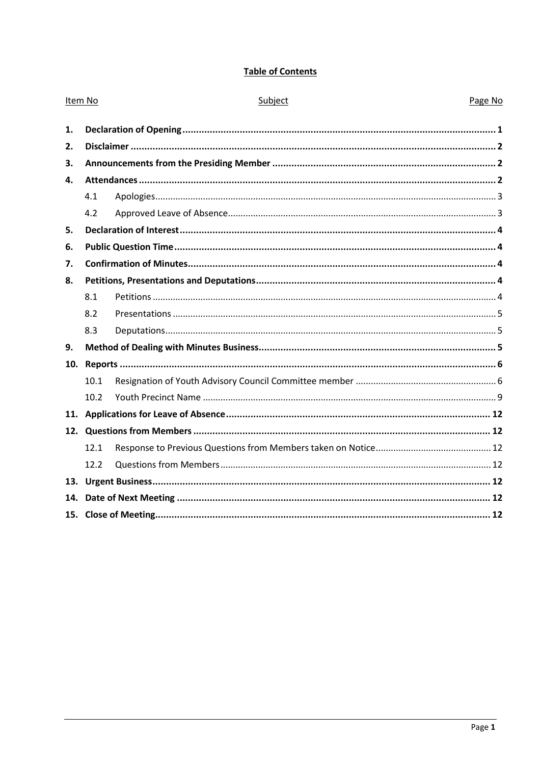# **Table of Contents**

| Item No |      | Subject | Page No |
|---------|------|---------|---------|
| 1.      |      |         |         |
| 2.      |      |         |         |
| 3.      |      |         |         |
| 4.      |      |         |         |
|         | 4.1  |         |         |
|         | 4.2  |         |         |
| 5.      |      |         |         |
| 6.      |      |         |         |
| 7.      |      |         |         |
| 8.      |      |         |         |
|         | 8.1  |         |         |
|         | 8.2  |         |         |
|         | 8.3  |         |         |
| 9.      |      |         |         |
| 10.     |      |         |         |
|         | 10.1 |         |         |
|         | 10.2 |         |         |
|         |      |         |         |
|         |      |         |         |
|         | 12.1 |         |         |
|         | 12.2 |         |         |
|         |      |         |         |
| 14.     |      |         |         |
|         |      |         |         |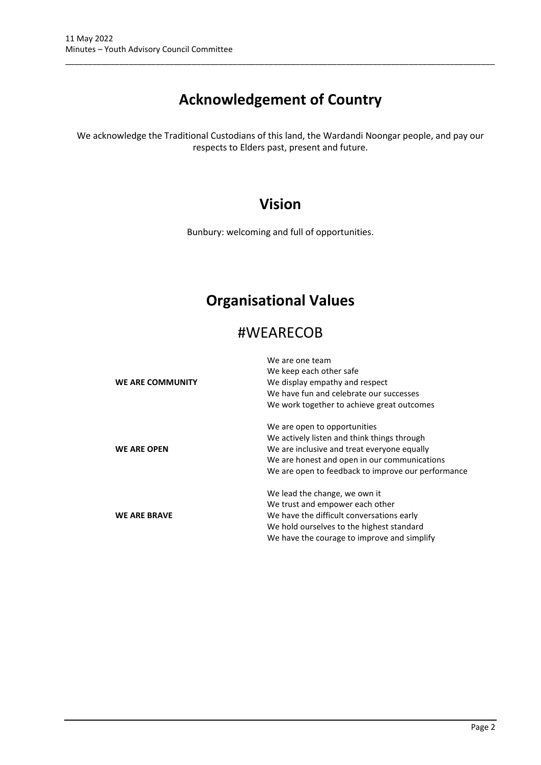# **Acknowledgement of Country**

\_\_\_\_\_\_\_\_\_\_\_\_\_\_\_\_\_\_\_\_\_\_\_\_\_\_\_\_\_\_\_\_\_\_\_\_\_\_\_\_\_\_\_\_\_\_\_\_\_\_\_\_\_\_\_\_\_\_\_\_\_\_\_\_\_\_\_\_\_\_\_\_\_\_\_\_\_\_\_\_\_\_\_\_\_\_\_\_\_\_\_\_\_\_\_

We acknowledge the Traditional Custodians of this land, the Wardandi Noongar people, and pay our respects to Elders past, present and future.

# **Vision**

Bunbury: welcoming and full of opportunities.

# **Organisational Values**

# #WEARECOB

|                         | We are one team<br>We keep each other safe         |
|-------------------------|----------------------------------------------------|
| <b>WE ARE COMMUNITY</b> | We display empathy and respect                     |
|                         | We have fun and celebrate our successes            |
|                         | We work together to achieve great outcomes         |
|                         | We are open to opportunities                       |
|                         | We actively listen and think things through        |
| <b>WE ARE OPEN</b>      | We are inclusive and treat everyone equally        |
|                         | We are honest and open in our communications       |
|                         | We are open to feedback to improve our performance |
|                         | We lead the change, we own it                      |
|                         | We trust and empower each other                    |
| <b>WE ARE BRAVE</b>     | We have the difficult conversations early          |
|                         | We hold ourselves to the highest standard          |
|                         | We have the courage to improve and simplify        |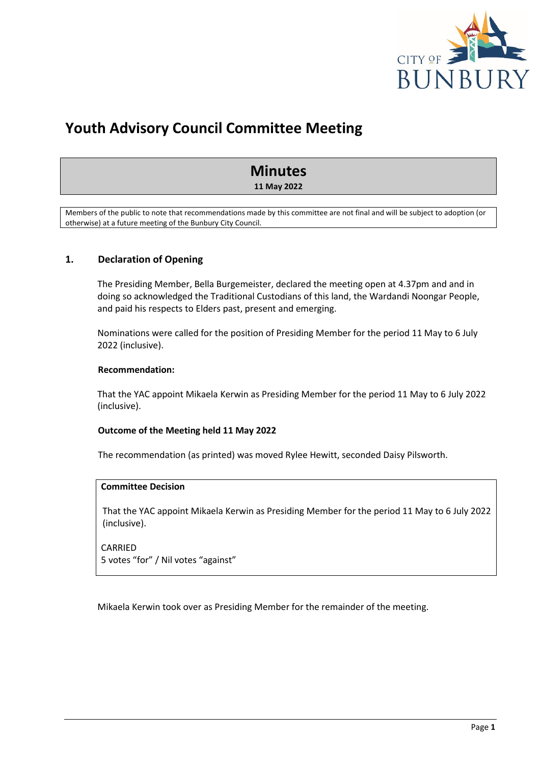

# **Youth Advisory Council Committee Meeting**

# **Minutes**

**11 May 2022**

Members of the public to note that recommendations made by this committee are not final and will be subject to adoption (or otherwise) at a future meeting of the Bunbury City Council.

## <span id="page-3-0"></span>**1. Declaration of Opening**

The Presiding Member, Bella Burgemeister, declared the meeting open at 4.37pm and and in doing so acknowledged the Traditional Custodians of this land, the Wardandi Noongar People, and paid his respects to Elders past, present and emerging.

Nominations were called for the position of Presiding Member for the period 11 May to 6 July 2022 (inclusive).

#### **Recommendation:**

That the YAC appoint Mikaela Kerwin as Presiding Member for the period 11 May to 6 July 2022 (inclusive).

#### **Outcome of the Meeting held 11 May 2022**

The recommendation (as printed) was moved Rylee Hewitt, seconded Daisy Pilsworth.

#### **Committee Decision**

That the YAC appoint Mikaela Kerwin as Presiding Member for the period 11 May to 6 July 2022 (inclusive).

CARRIED 5 votes "for" / Nil votes "against"

Mikaela Kerwin took over as Presiding Member for the remainder of the meeting.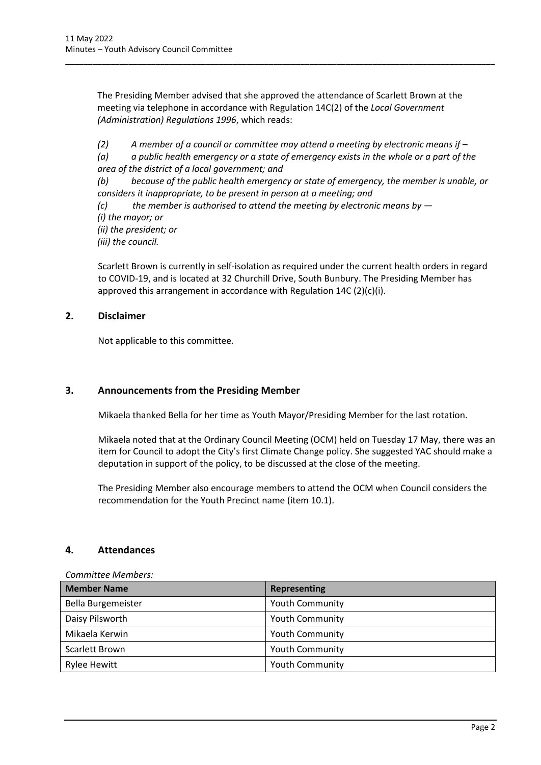The Presiding Member advised that she approved the attendance of Scarlett Brown at the meeting via telephone in accordance with Regulation 14C(2) of the *Local Government (Administration) Regulations 1996*, which reads:

\_\_\_\_\_\_\_\_\_\_\_\_\_\_\_\_\_\_\_\_\_\_\_\_\_\_\_\_\_\_\_\_\_\_\_\_\_\_\_\_\_\_\_\_\_\_\_\_\_\_\_\_\_\_\_\_\_\_\_\_\_\_\_\_\_\_\_\_\_\_\_\_\_\_\_\_\_\_\_\_\_\_\_\_\_\_\_\_\_\_\_\_\_\_\_

*(2) A member of a council or committee may attend a meeting by electronic means if – (a) a public health emergency or a state of emergency exists in the whole or a part of the area of the district of a local government; and* 

*(b) because of the public health emergency or state of emergency, the member is unable, or considers it inappropriate, to be present in person at a meeting; and* 

*(c) the member is authorised to attend the meeting by electronic means by — (i) the mayor; or (ii) the president; or* 

*(iii) the council.*

Scarlett Brown is currently in self-isolation as required under the current health orders in regard to COVID-19, and is located at 32 Churchill Drive, South Bunbury. The Presiding Member has approved this arrangement in accordance with Regulation 14C (2)(c)(i).

# <span id="page-4-0"></span>**2. Disclaimer**

Not applicable to this committee.

## <span id="page-4-1"></span>**3. Announcements from the Presiding Member**

Mikaela thanked Bella for her time as Youth Mayor/Presiding Member for the last rotation.

Mikaela noted that at the Ordinary Council Meeting (OCM) held on Tuesday 17 May, there was an item for Council to adopt the City's first Climate Change policy. She suggested YAC should make a deputation in support of the policy, to be discussed at the close of the meeting.

The Presiding Member also encourage members to attend the OCM when Council considers the recommendation for the Youth Precinct name (item 10.1).

## <span id="page-4-2"></span>**4. Attendances**

#### *Committee Members:*

| <b>Member Name</b>  | <b>Representing</b>    |
|---------------------|------------------------|
| Bella Burgemeister  | <b>Youth Community</b> |
| Daisy Pilsworth     | <b>Youth Community</b> |
| Mikaela Kerwin      | <b>Youth Community</b> |
| Scarlett Brown      | <b>Youth Community</b> |
| <b>Rylee Hewitt</b> | <b>Youth Community</b> |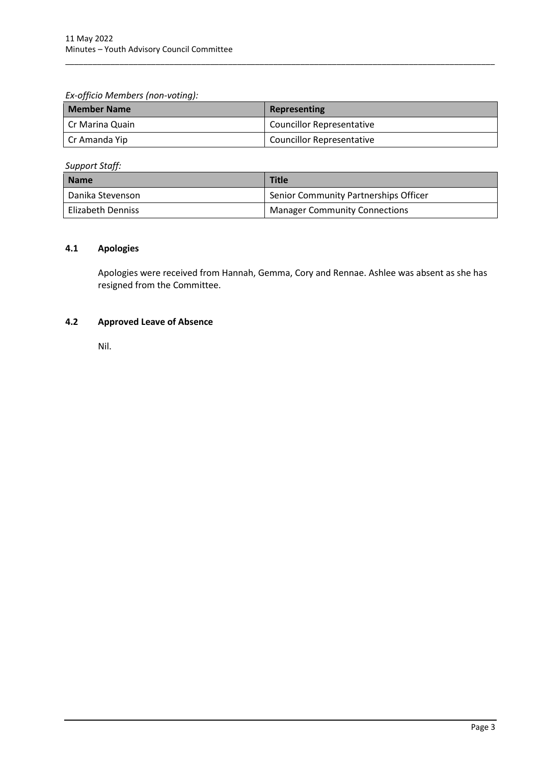*Ex-officio Members (non-voting):* 

| <b>Member Name</b> | Representing                     |
|--------------------|----------------------------------|
| l Cr Marina Quain  | Councillor Representative        |
| Cr Amanda Yip      | <b>Councillor Representative</b> |

\_\_\_\_\_\_\_\_\_\_\_\_\_\_\_\_\_\_\_\_\_\_\_\_\_\_\_\_\_\_\_\_\_\_\_\_\_\_\_\_\_\_\_\_\_\_\_\_\_\_\_\_\_\_\_\_\_\_\_\_\_\_\_\_\_\_\_\_\_\_\_\_\_\_\_\_\_\_\_\_\_\_\_\_\_\_\_\_\_\_\_\_\_\_\_

*Support Staff:*

| Name              | <b>Title</b>                          |
|-------------------|---------------------------------------|
| Danika Stevenson  | Senior Community Partnerships Officer |
| Elizabeth Denniss | <b>Manager Community Connections</b>  |

#### <span id="page-5-0"></span>**4.1 Apologies**

Apologies were received from Hannah, Gemma, Cory and Rennae. Ashlee was absent as she has resigned from the Committee.

## <span id="page-5-1"></span>**4.2 Approved Leave of Absence**

Nil.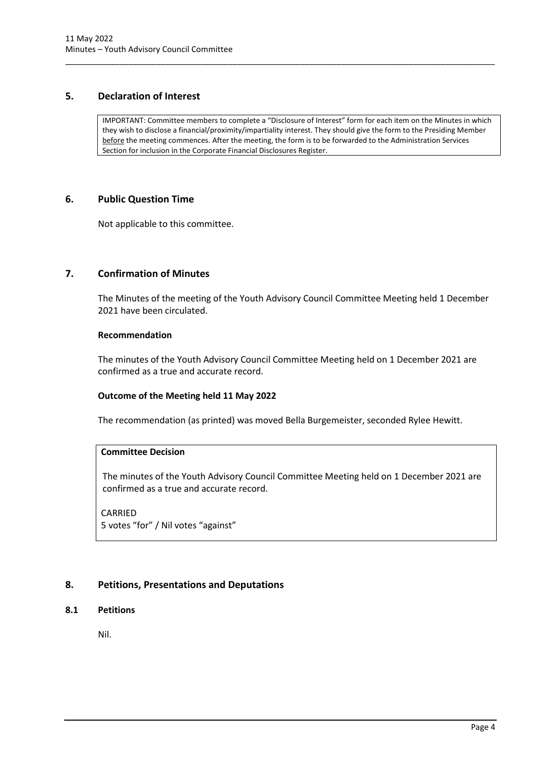## <span id="page-6-0"></span>**5. Declaration of Interest**

IMPORTANT: Committee members to complete a "Disclosure of Interest" form for each item on the Minutes in which they wish to disclose a financial/proximity/impartiality interest. They should give the form to the Presiding Member before the meeting commences. After the meeting, the form is to be forwarded to the Administration Services Section for inclusion in the Corporate Financial Disclosures Register.

\_\_\_\_\_\_\_\_\_\_\_\_\_\_\_\_\_\_\_\_\_\_\_\_\_\_\_\_\_\_\_\_\_\_\_\_\_\_\_\_\_\_\_\_\_\_\_\_\_\_\_\_\_\_\_\_\_\_\_\_\_\_\_\_\_\_\_\_\_\_\_\_\_\_\_\_\_\_\_\_\_\_\_\_\_\_\_\_\_\_\_\_\_\_\_

## <span id="page-6-1"></span>**6. Public Question Time**

Not applicable to this committee.

# <span id="page-6-2"></span>**7. Confirmation of Minutes**

The Minutes of the meeting of the Youth Advisory Council Committee Meeting held 1 December 2021 have been circulated.

#### **Recommendation**

The minutes of the Youth Advisory Council Committee Meeting held on 1 December 2021 are confirmed as a true and accurate record.

## **Outcome of the Meeting held 11 May 2022**

The recommendation (as printed) was moved Bella Burgemeister, seconded Rylee Hewitt.

#### **Committee Decision**

The minutes of the Youth Advisory Council Committee Meeting held on 1 December 2021 are confirmed as a true and accurate record.

CARRIED 5 votes "for" / Nil votes "against"

# <span id="page-6-3"></span>**8. Petitions, Presentations and Deputations**

#### <span id="page-6-4"></span>**8.1 Petitions**

Nil.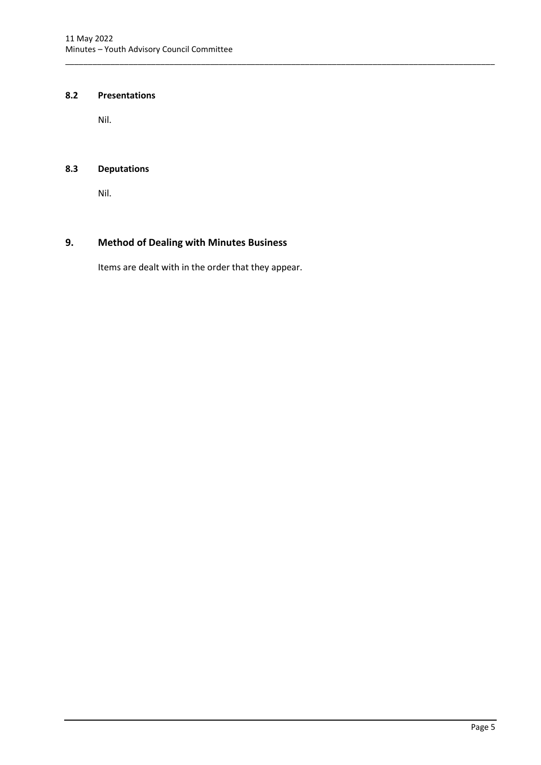#### <span id="page-7-0"></span>**8.2 Presentations**

Nil.

# <span id="page-7-1"></span>**8.3 Deputations**

Nil.

# <span id="page-7-2"></span>**9. Method of Dealing with Minutes Business**

Items are dealt with in the order that they appear.

\_\_\_\_\_\_\_\_\_\_\_\_\_\_\_\_\_\_\_\_\_\_\_\_\_\_\_\_\_\_\_\_\_\_\_\_\_\_\_\_\_\_\_\_\_\_\_\_\_\_\_\_\_\_\_\_\_\_\_\_\_\_\_\_\_\_\_\_\_\_\_\_\_\_\_\_\_\_\_\_\_\_\_\_\_\_\_\_\_\_\_\_\_\_\_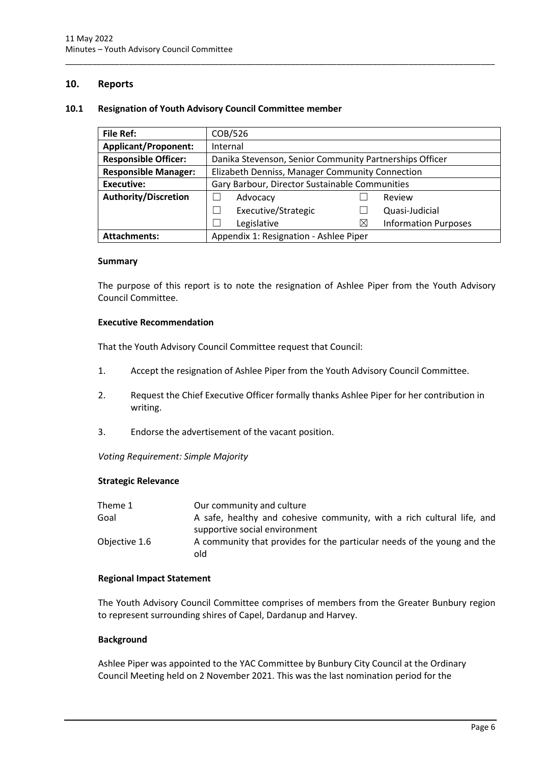#### <span id="page-8-0"></span>**10. Reports**

#### <span id="page-8-1"></span>**10.1 Resignation of Youth Advisory Council Committee member**

| <b>File Ref:</b>            | COB/526                                                 |          |                             |  |
|-----------------------------|---------------------------------------------------------|----------|-----------------------------|--|
| <b>Applicant/Proponent:</b> | Internal                                                |          |                             |  |
| <b>Responsible Officer:</b> | Danika Stevenson, Senior Community Partnerships Officer |          |                             |  |
| <b>Responsible Manager:</b> | Elizabeth Denniss, Manager Community Connection         |          |                             |  |
| <b>Executive:</b>           | Gary Barbour, Director Sustainable Communities          |          |                             |  |
| <b>Authority/Discretion</b> | Advocacy                                                |          | Review                      |  |
|                             | Executive/Strategic                                     |          | Quasi-Judicial              |  |
|                             | Legislative                                             | $\times$ | <b>Information Purposes</b> |  |
| <b>Attachments:</b>         | Appendix 1: Resignation - Ashlee Piper                  |          |                             |  |

\_\_\_\_\_\_\_\_\_\_\_\_\_\_\_\_\_\_\_\_\_\_\_\_\_\_\_\_\_\_\_\_\_\_\_\_\_\_\_\_\_\_\_\_\_\_\_\_\_\_\_\_\_\_\_\_\_\_\_\_\_\_\_\_\_\_\_\_\_\_\_\_\_\_\_\_\_\_\_\_\_\_\_\_\_\_\_\_\_\_\_\_\_\_\_

#### **Summary**

The purpose of this report is to note the resignation of Ashlee Piper from the Youth Advisory Council Committee.

#### **Executive Recommendation**

That the Youth Advisory Council Committee request that Council:

- 1. Accept the resignation of Ashlee Piper from the Youth Advisory Council Committee.
- 2. Request the Chief Executive Officer formally thanks Ashlee Piper for her contribution in writing.
- 3. Endorse the advertisement of the vacant position.

*Voting Requirement: Simple Majority* 

#### **Strategic Relevance**

| Theme 1       | Our community and culture                                               |
|---------------|-------------------------------------------------------------------------|
| Goal          | A safe, healthy and cohesive community, with a rich cultural life, and  |
|               | supportive social environment                                           |
| Objective 1.6 | A community that provides for the particular needs of the young and the |
|               | old                                                                     |

#### **Regional Impact Statement**

The Youth Advisory Council Committee comprises of members from the Greater Bunbury region to represent surrounding shires of Capel, Dardanup and Harvey.

#### **Background**

Ashlee Piper was appointed to the YAC Committee by Bunbury City Council at the Ordinary Council Meeting held on 2 November 2021. This was the last nomination period for the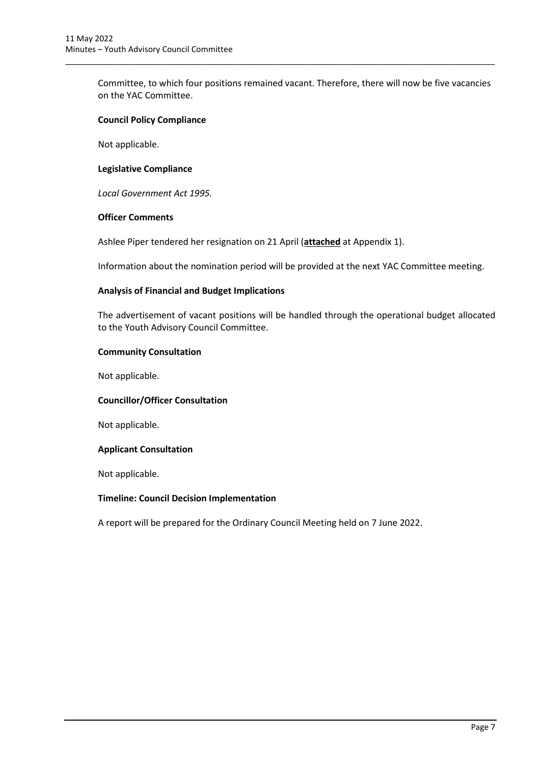Committee, to which four positions remained vacant. Therefore, there will now be five vacancies on the YAC Committee.

\_\_\_\_\_\_\_\_\_\_\_\_\_\_\_\_\_\_\_\_\_\_\_\_\_\_\_\_\_\_\_\_\_\_\_\_\_\_\_\_\_\_\_\_\_\_\_\_\_\_\_\_\_\_\_\_\_\_\_\_\_\_\_\_\_\_\_\_\_\_\_\_\_\_\_\_\_\_\_\_\_\_\_\_\_\_\_\_\_\_\_\_\_\_\_

#### **Council Policy Compliance**

Not applicable.

#### **Legislative Compliance**

*Local Government Act 1995.* 

#### **Officer Comments**

Ashlee Piper tendered her resignation on 21 April (**attached** at Appendix 1).

Information about the nomination period will be provided at the next YAC Committee meeting.

#### **Analysis of Financial and Budget Implications**

The advertisement of vacant positions will be handled through the operational budget allocated to the Youth Advisory Council Committee.

#### **Community Consultation**

Not applicable.

#### **Councillor/Officer Consultation**

Not applicable.

#### **Applicant Consultation**

Not applicable.

#### **Timeline: Council Decision Implementation**

A report will be prepared for the Ordinary Council Meeting held on 7 June 2022.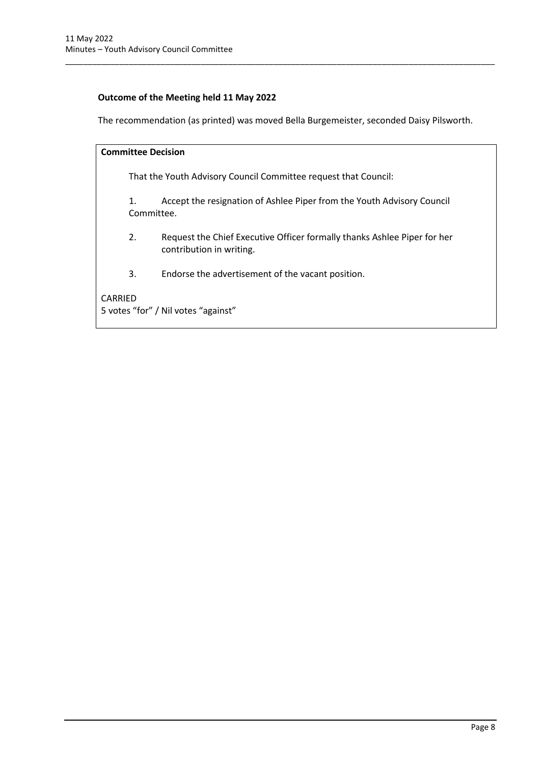# **Outcome of the Meeting held 11 May 2022**

The recommendation (as printed) was moved Bella Burgemeister, seconded Daisy Pilsworth.

\_\_\_\_\_\_\_\_\_\_\_\_\_\_\_\_\_\_\_\_\_\_\_\_\_\_\_\_\_\_\_\_\_\_\_\_\_\_\_\_\_\_\_\_\_\_\_\_\_\_\_\_\_\_\_\_\_\_\_\_\_\_\_\_\_\_\_\_\_\_\_\_\_\_\_\_\_\_\_\_\_\_\_\_\_\_\_\_\_\_\_\_\_\_\_

| <b>Committee Decision</b>                      |                                                                 |                                                                                                      |  |
|------------------------------------------------|-----------------------------------------------------------------|------------------------------------------------------------------------------------------------------|--|
|                                                | That the Youth Advisory Council Committee request that Council: |                                                                                                      |  |
|                                                | 1.<br>Committee.                                                | Accept the resignation of Ashlee Piper from the Youth Advisory Council                               |  |
|                                                | 2.                                                              | Request the Chief Executive Officer formally thanks Ashlee Piper for her<br>contribution in writing. |  |
|                                                | 3.                                                              | Endorse the advertisement of the vacant position.                                                    |  |
| CARRIED<br>5 votes "for" / Nil votes "against" |                                                                 |                                                                                                      |  |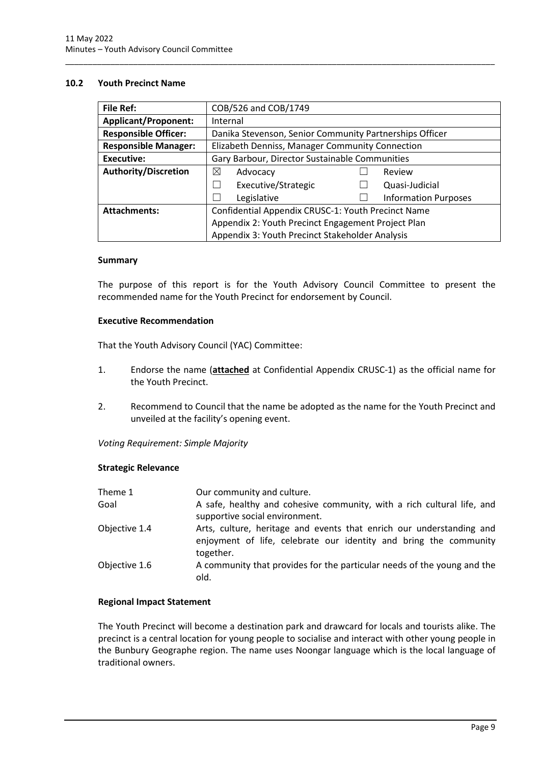#### <span id="page-11-0"></span>**10.2 Youth Precinct Name**

| <b>File Ref:</b>                                                          | COB/526 and COB/1749                                    |  |                             |  |
|---------------------------------------------------------------------------|---------------------------------------------------------|--|-----------------------------|--|
| <b>Applicant/Proponent:</b>                                               | Internal                                                |  |                             |  |
| <b>Responsible Officer:</b>                                               | Danika Stevenson, Senior Community Partnerships Officer |  |                             |  |
| <b>Responsible Manager:</b>                                               | Elizabeth Denniss, Manager Community Connection         |  |                             |  |
| <b>Executive:</b>                                                         | Gary Barbour, Director Sustainable Communities          |  |                             |  |
| <b>Authority/Discretion</b>                                               | ⊠<br>Advocacy                                           |  | Review                      |  |
|                                                                           | Executive/Strategic                                     |  | Quasi-Judicial              |  |
|                                                                           | Legislative                                             |  | <b>Information Purposes</b> |  |
| Confidential Appendix CRUSC-1: Youth Precinct Name<br><b>Attachments:</b> |                                                         |  |                             |  |
|                                                                           | Appendix 2: Youth Precinct Engagement Project Plan      |  |                             |  |
|                                                                           | Appendix 3: Youth Precinct Stakeholder Analysis         |  |                             |  |

\_\_\_\_\_\_\_\_\_\_\_\_\_\_\_\_\_\_\_\_\_\_\_\_\_\_\_\_\_\_\_\_\_\_\_\_\_\_\_\_\_\_\_\_\_\_\_\_\_\_\_\_\_\_\_\_\_\_\_\_\_\_\_\_\_\_\_\_\_\_\_\_\_\_\_\_\_\_\_\_\_\_\_\_\_\_\_\_\_\_\_\_\_\_\_

#### **Summary**

The purpose of this report is for the Youth Advisory Council Committee to present the recommended name for the Youth Precinct for endorsement by Council.

#### **Executive Recommendation**

That the Youth Advisory Council (YAC) Committee:

- 1. Endorse the name (**attached** at Confidential Appendix CRUSC-1) as the official name for the Youth Precinct.
- 2. Recommend to Council that the name be adopted as the name for the Youth Precinct and unveiled at the facility's opening event.

*Voting Requirement: Simple Majority* 

#### **Strategic Relevance**

| Theme 1       | Our community and culture.                                                                                                                             |
|---------------|--------------------------------------------------------------------------------------------------------------------------------------------------------|
| Goal          | A safe, healthy and cohesive community, with a rich cultural life, and<br>supportive social environment.                                               |
| Objective 1.4 | Arts, culture, heritage and events that enrich our understanding and<br>enjoyment of life, celebrate our identity and bring the community<br>together. |
| Objective 1.6 | A community that provides for the particular needs of the young and the<br>old.                                                                        |

#### **Regional Impact Statement**

The Youth Precinct will become a destination park and drawcard for locals and tourists alike. The precinct is a central location for young people to socialise and interact with other young people in the Bunbury Geographe region. The name uses Noongar language which is the local language of traditional owners.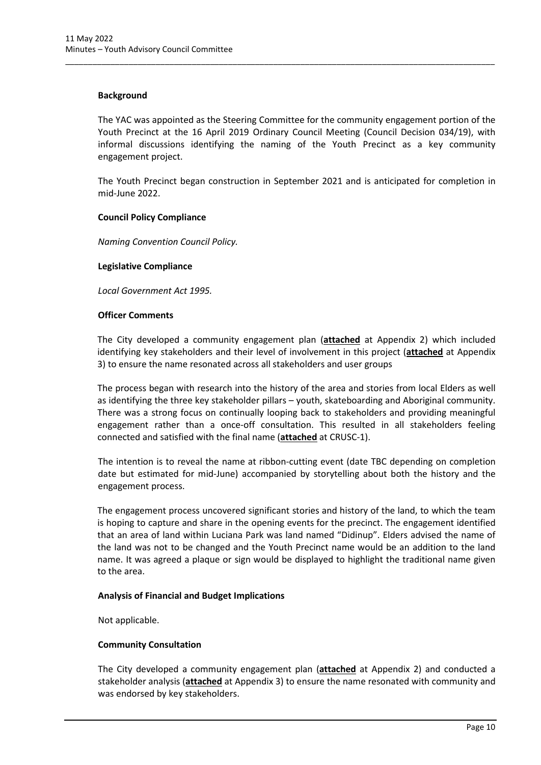#### **Background**

The YAC was appointed as the Steering Committee for the community engagement portion of the Youth Precinct at the 16 April 2019 Ordinary Council Meeting (Council Decision 034/19), with informal discussions identifying the naming of the Youth Precinct as a key community engagement project.

\_\_\_\_\_\_\_\_\_\_\_\_\_\_\_\_\_\_\_\_\_\_\_\_\_\_\_\_\_\_\_\_\_\_\_\_\_\_\_\_\_\_\_\_\_\_\_\_\_\_\_\_\_\_\_\_\_\_\_\_\_\_\_\_\_\_\_\_\_\_\_\_\_\_\_\_\_\_\_\_\_\_\_\_\_\_\_\_\_\_\_\_\_\_\_

The Youth Precinct began construction in September 2021 and is anticipated for completion in mid-June 2022.

#### **Council Policy Compliance**

*Naming Convention Council Policy.* 

#### **Legislative Compliance**

*Local Government Act 1995.* 

#### **Officer Comments**

The City developed a community engagement plan (**attached** at Appendix 2) which included identifying key stakeholders and their level of involvement in this project (**attached** at Appendix 3) to ensure the name resonated across all stakeholders and user groups

The process began with research into the history of the area and stories from local Elders as well as identifying the three key stakeholder pillars – youth, skateboarding and Aboriginal community. There was a strong focus on continually looping back to stakeholders and providing meaningful engagement rather than a once-off consultation. This resulted in all stakeholders feeling connected and satisfied with the final name (**attached** at CRUSC-1).

The intention is to reveal the name at ribbon-cutting event (date TBC depending on completion date but estimated for mid-June) accompanied by storytelling about both the history and the engagement process.

The engagement process uncovered significant stories and history of the land, to which the team is hoping to capture and share in the opening events for the precinct. The engagement identified that an area of land within Luciana Park was land named "Didinup". Elders advised the name of the land was not to be changed and the Youth Precinct name would be an addition to the land name. It was agreed a plaque or sign would be displayed to highlight the traditional name given to the area.

#### **Analysis of Financial and Budget Implications**

Not applicable.

#### **Community Consultation**

The City developed a community engagement plan (**attached** at Appendix 2) and conducted a stakeholder analysis (**attached** at Appendix 3) to ensure the name resonated with community and was endorsed by key stakeholders.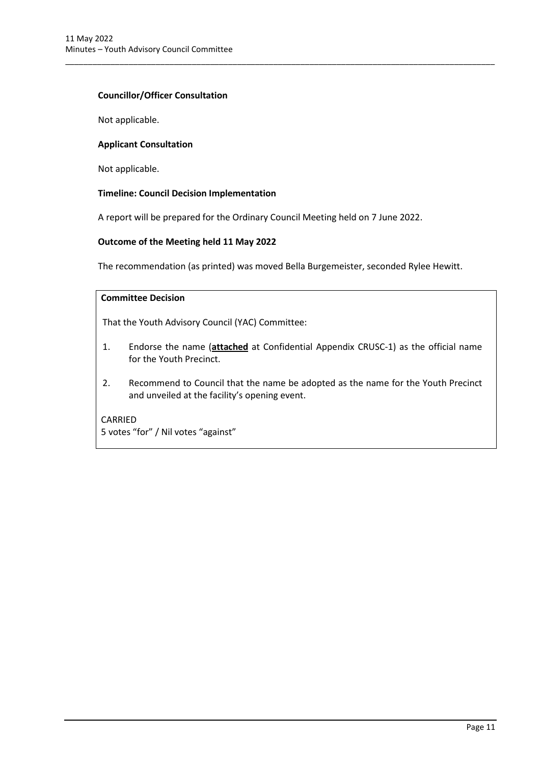#### **Councillor/Officer Consultation**

Not applicable.

#### **Applicant Consultation**

Not applicable.

#### **Timeline: Council Decision Implementation**

A report will be prepared for the Ordinary Council Meeting held on 7 June 2022.

#### **Outcome of the Meeting held 11 May 2022**

The recommendation (as printed) was moved Bella Burgemeister, seconded Rylee Hewitt.

\_\_\_\_\_\_\_\_\_\_\_\_\_\_\_\_\_\_\_\_\_\_\_\_\_\_\_\_\_\_\_\_\_\_\_\_\_\_\_\_\_\_\_\_\_\_\_\_\_\_\_\_\_\_\_\_\_\_\_\_\_\_\_\_\_\_\_\_\_\_\_\_\_\_\_\_\_\_\_\_\_\_\_\_\_\_\_\_\_\_\_\_\_\_\_

#### **Committee Decision**

That the Youth Advisory Council (YAC) Committee:

- 1. Endorse the name (**attached** at Confidential Appendix CRUSC-1) as the official name for the Youth Precinct.
- 2. Recommend to Council that the name be adopted as the name for the Youth Precinct and unveiled at the facility's opening event.

CARRIED 5 votes "for" / Nil votes "against"